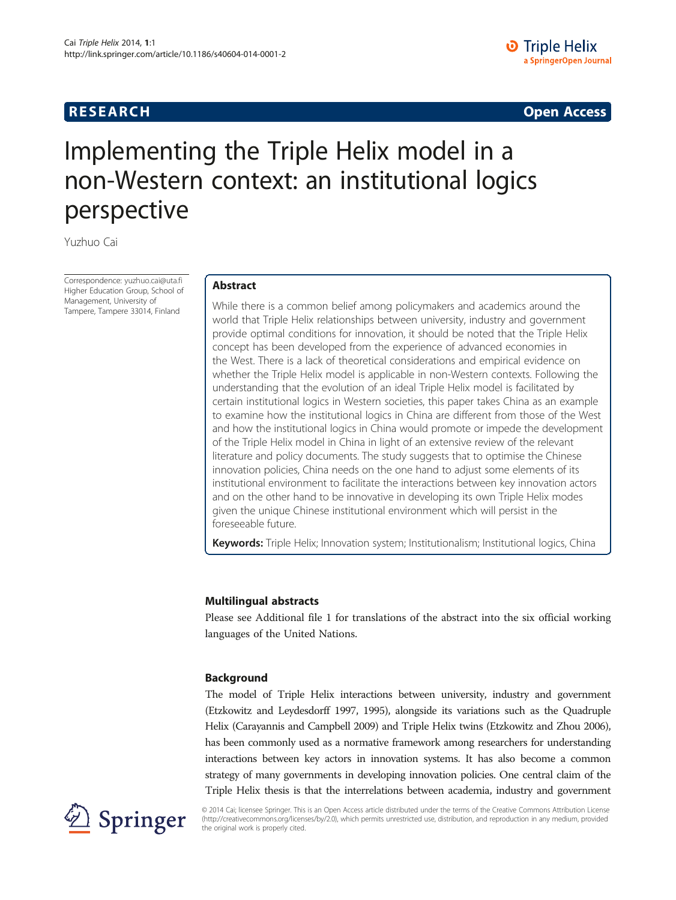# **RESEARCH RESEARCH CONSUMING ACCESS**

# Implementing the Triple Helix model in a non-Western context: an institutional logics perspective

Yuzhuo Cai

Correspondence: [yuzhuo.cai@uta.fi](mailto:yuzhuo.cai@uta.fi) Higher Education Group, School of Management, University of Tampere, Tampere 33014, Finland

# Abstract

While there is a common belief among policymakers and academics around the world that Triple Helix relationships between university, industry and government provide optimal conditions for innovation, it should be noted that the Triple Helix concept has been developed from the experience of advanced economies in the West. There is a lack of theoretical considerations and empirical evidence on whether the Triple Helix model is applicable in non-Western contexts. Following the understanding that the evolution of an ideal Triple Helix model is facilitated by certain institutional logics in Western societies, this paper takes China as an example to examine how the institutional logics in China are different from those of the West and how the institutional logics in China would promote or impede the development of the Triple Helix model in China in light of an extensive review of the relevant literature and policy documents. The study suggests that to optimise the Chinese innovation policies, China needs on the one hand to adjust some elements of its institutional environment to facilitate the interactions between key innovation actors and on the other hand to be innovative in developing its own Triple Helix modes given the unique Chinese institutional environment which will persist in the foreseeable future.

Keywords: Triple Helix; Innovation system; Institutionalism; Institutional logics, China

# Multilingual abstracts

Please see Additional file [1](#page-16-0) for translations of the abstract into the six official working languages of the United Nations.

# Background

The model of Triple Helix interactions between university, industry and government (Etzkowitz and Leydesdorff [1997, 1995](#page-17-0)), alongside its variations such as the Quadruple Helix (Carayannis and Campbell [2009\)](#page-17-0) and Triple Helix twins (Etzkowitz and Zhou [2006](#page-17-0)), has been commonly used as a normative framework among researchers for understanding interactions between key actors in innovation systems. It has also become a common strategy of many governments in developing innovation policies. One central claim of the Triple Helix thesis is that the interrelations between academia, industry and government



© 2014 Cai; licensee Springer. This is an Open Access article distributed under the terms of the Creative Commons Attribution License (<http://creativecommons.org/licenses/by/2.0>), which permits unrestricted use, distribution, and reproduction in any medium, provided the original work is properly cited.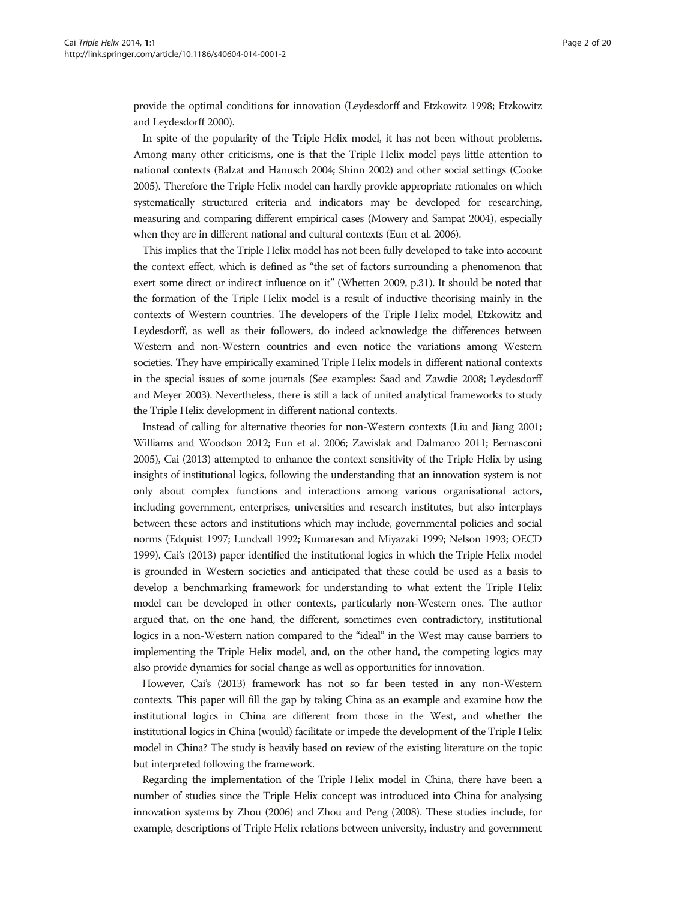provide the optimal conditions for innovation (Leydesdorff and Etzkowitz [1998;](#page-18-0) Etzkowitz and Leydesdorff [2000\)](#page-17-0).

In spite of the popularity of the Triple Helix model, it has not been without problems. Among many other criticisms, one is that the Triple Helix model pays little attention to national contexts (Balzat and Hanusch [2004](#page-16-0); Shinn [2002\)](#page-18-0) and other social settings (Cooke [2005\)](#page-17-0). Therefore the Triple Helix model can hardly provide appropriate rationales on which systematically structured criteria and indicators may be developed for researching, measuring and comparing different empirical cases (Mowery and Sampat [2004](#page-18-0)), especially when they are in different national and cultural contexts (Eun et al. [2006](#page-17-0)).

This implies that the Triple Helix model has not been fully developed to take into account the context effect, which is defined as "the set of factors surrounding a phenomenon that exert some direct or indirect influence on it" (Whetten [2009,](#page-19-0) p.31). It should be noted that the formation of the Triple Helix model is a result of inductive theorising mainly in the contexts of Western countries. The developers of the Triple Helix model, Etzkowitz and Leydesdorff, as well as their followers, do indeed acknowledge the differences between Western and non-Western countries and even notice the variations among Western societies. They have empirically examined Triple Helix models in different national contexts in the special issues of some journals (See examples: Saad and Zawdie [2008](#page-18-0); Leydesdorff and Meyer [2003\)](#page-18-0). Nevertheless, there is still a lack of united analytical frameworks to study the Triple Helix development in different national contexts.

Instead of calling for alternative theories for non-Western contexts (Liu and Jiang [2001](#page-18-0); Williams and Woodson [2012](#page-19-0); Eun et al. [2006](#page-17-0); Zawislak and Dalmarco [2011](#page-19-0); Bernasconi [2005\)](#page-17-0), Cai ([2013\)](#page-17-0) attempted to enhance the context sensitivity of the Triple Helix by using insights of institutional logics, following the understanding that an innovation system is not only about complex functions and interactions among various organisational actors, including government, enterprises, universities and research institutes, but also interplays between these actors and institutions which may include, governmental policies and social norms (Edquist [1997;](#page-17-0) Lundvall [1992](#page-18-0); Kumaresan and Miyazaki [1999;](#page-18-0) Nelson [1993;](#page-18-0) OECD [1999\)](#page-18-0). Cai's ([2013](#page-17-0)) paper identified the institutional logics in which the Triple Helix model is grounded in Western societies and anticipated that these could be used as a basis to develop a benchmarking framework for understanding to what extent the Triple Helix model can be developed in other contexts, particularly non-Western ones. The author argued that, on the one hand, the different, sometimes even contradictory, institutional logics in a non-Western nation compared to the "ideal" in the West may cause barriers to implementing the Triple Helix model, and, on the other hand, the competing logics may also provide dynamics for social change as well as opportunities for innovation.

However, Cai's ([2013](#page-17-0)) framework has not so far been tested in any non-Western contexts. This paper will fill the gap by taking China as an example and examine how the institutional logics in China are different from those in the West, and whether the institutional logics in China (would) facilitate or impede the development of the Triple Helix model in China? The study is heavily based on review of the existing literature on the topic but interpreted following the framework.

Regarding the implementation of the Triple Helix model in China, there have been a number of studies since the Triple Helix concept was introduced into China for analysing innovation systems by Zhou ([2006\)](#page-19-0) and Zhou and Peng [\(2008\)](#page-19-0). These studies include, for example, descriptions of Triple Helix relations between university, industry and government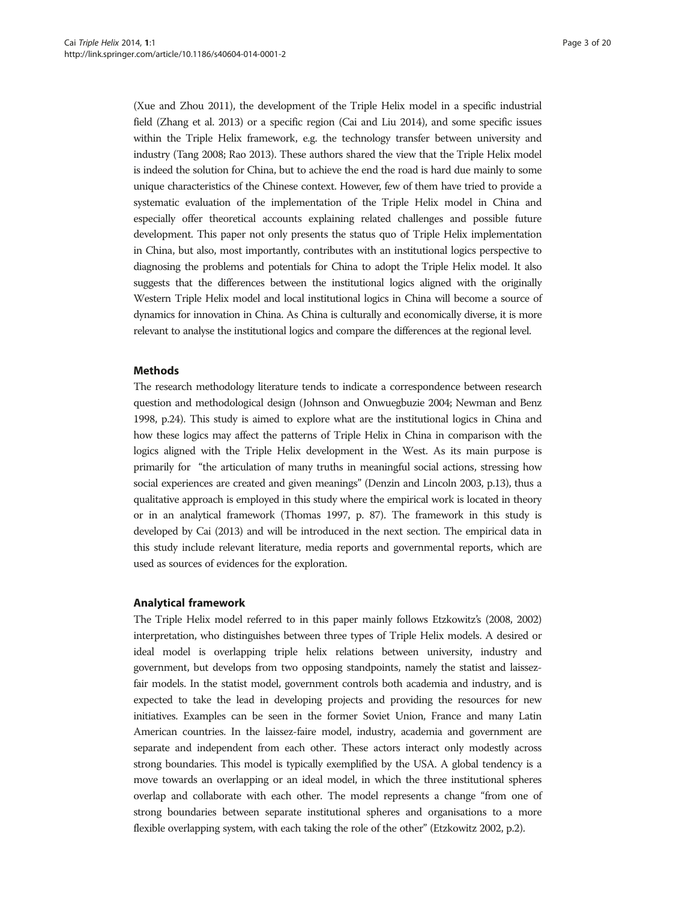(Xue and Zhou [2011](#page-19-0)), the development of the Triple Helix model in a specific industrial field (Zhang et al. [2013](#page-19-0)) or a specific region (Cai and Liu [2014\)](#page-17-0), and some specific issues within the Triple Helix framework, e.g. the technology transfer between university and industry (Tang [2008;](#page-18-0) Rao [2013\)](#page-18-0). These authors shared the view that the Triple Helix model is indeed the solution for China, but to achieve the end the road is hard due mainly to some unique characteristics of the Chinese context. However, few of them have tried to provide a systematic evaluation of the implementation of the Triple Helix model in China and especially offer theoretical accounts explaining related challenges and possible future development. This paper not only presents the status quo of Triple Helix implementation in China, but also, most importantly, contributes with an institutional logics perspective to diagnosing the problems and potentials for China to adopt the Triple Helix model. It also suggests that the differences between the institutional logics aligned with the originally Western Triple Helix model and local institutional logics in China will become a source of dynamics for innovation in China. As China is culturally and economically diverse, it is more relevant to analyse the institutional logics and compare the differences at the regional level.

# Methods

The research methodology literature tends to indicate a correspondence between research question and methodological design (Johnson and Onwuegbuzie [2004](#page-17-0); Newman and Benz [1998,](#page-18-0) p.24). This study is aimed to explore what are the institutional logics in China and how these logics may affect the patterns of Triple Helix in China in comparison with the logics aligned with the Triple Helix development in the West. As its main purpose is primarily for "the articulation of many truths in meaningful social actions, stressing how social experiences are created and given meanings" (Denzin and Lincoln [2003](#page-17-0), p.13), thus a qualitative approach is employed in this study where the empirical work is located in theory or in an analytical framework (Thomas 1997, p. 87). The framework in this study is developed by Cai [\(2013](#page-17-0)) and will be introduced in the next section. The empirical data in this study include relevant literature, media reports and governmental reports, which are used as sources of evidences for the exploration.

### Analytical framework

The Triple Helix model referred to in this paper mainly follows Etzkowitz's [\(2008, 2002](#page-17-0)) interpretation, who distinguishes between three types of Triple Helix models. A desired or ideal model is overlapping triple helix relations between university, industry and government, but develops from two opposing standpoints, namely the statist and laissezfair models. In the statist model, government controls both academia and industry, and is expected to take the lead in developing projects and providing the resources for new initiatives. Examples can be seen in the former Soviet Union, France and many Latin American countries. In the laissez-faire model, industry, academia and government are separate and independent from each other. These actors interact only modestly across strong boundaries. This model is typically exemplified by the USA. A global tendency is a move towards an overlapping or an ideal model, in which the three institutional spheres overlap and collaborate with each other. The model represents a change "from one of strong boundaries between separate institutional spheres and organisations to a more flexible overlapping system, with each taking the role of the other" (Etzkowitz [2002,](#page-17-0) p.2).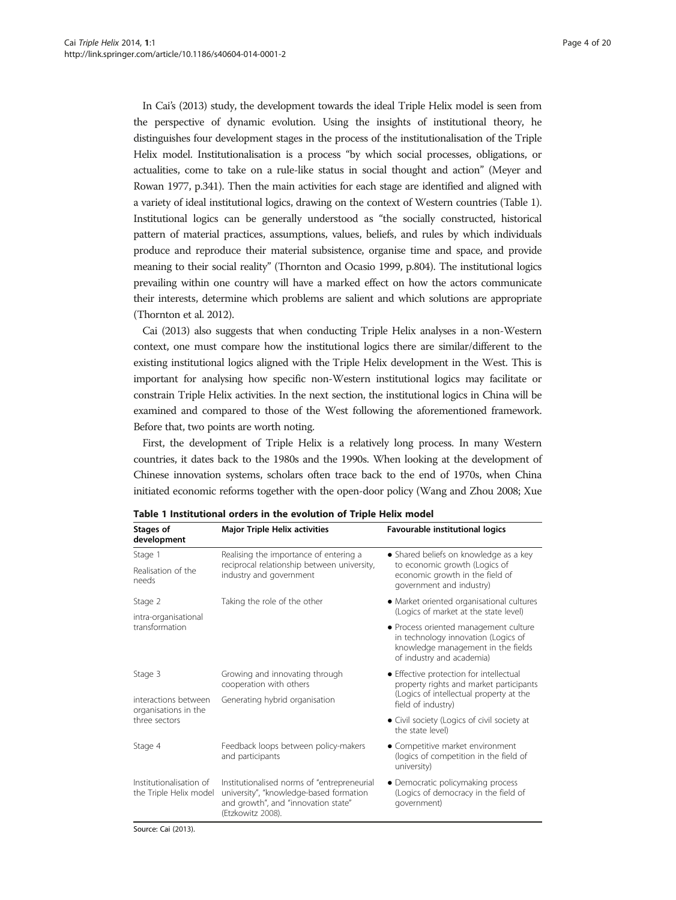In Cai's ([2013\)](#page-17-0) study, the development towards the ideal Triple Helix model is seen from the perspective of dynamic evolution. Using the insights of institutional theory, he distinguishes four development stages in the process of the institutionalisation of the Triple Helix model. Institutionalisation is a process "by which social processes, obligations, or actualities, come to take on a rule-like status in social thought and action" (Meyer and Rowan [1977](#page-18-0), p.341). Then the main activities for each stage are identified and aligned with a variety of ideal institutional logics, drawing on the context of Western countries (Table 1). Institutional logics can be generally understood as "the socially constructed, historical pattern of material practices, assumptions, values, beliefs, and rules by which individuals produce and reproduce their material subsistence, organise time and space, and provide meaning to their social reality" (Thornton and Ocasio [1999,](#page-19-0) p.804). The institutional logics prevailing within one country will have a marked effect on how the actors communicate their interests, determine which problems are salient and which solutions are appropriate (Thornton et al. [2012](#page-19-0)).

Cai [\(2013](#page-17-0)) also suggests that when conducting Triple Helix analyses in a non-Western context, one must compare how the institutional logics there are similar/different to the existing institutional logics aligned with the Triple Helix development in the West. This is important for analysing how specific non-Western institutional logics may facilitate or constrain Triple Helix activities. In the next section, the institutional logics in China will be examined and compared to those of the West following the aforementioned framework. Before that, two points are worth noting.

First, the development of Triple Helix is a relatively long process. In many Western countries, it dates back to the 1980s and the 1990s. When looking at the development of Chinese innovation systems, scholars often trace back to the end of 1970s, when China initiated economic reforms together with the open-door policy (Wang and Zhou [2008;](#page-19-0) Xue

Major Triple Helix activities Favourable institutional logics

| <b>Stages of</b><br>development                               | <b>Major Triple Hellx activities</b>                                                                                                               | Favourable institutional logics                                                                                                                     |
|---------------------------------------------------------------|----------------------------------------------------------------------------------------------------------------------------------------------------|-----------------------------------------------------------------------------------------------------------------------------------------------------|
| Stage 1                                                       | Realising the importance of entering a<br>reciprocal relationship between university,<br>industry and government                                   | • Shared beliefs on knowledge as a key<br>to economic growth (Logics of<br>economic growth in the field of<br>government and industry)              |
| Realisation of the<br>needs                                   |                                                                                                                                                    |                                                                                                                                                     |
| Stage 2                                                       | Taking the role of the other                                                                                                                       | • Market oriented organisational cultures<br>(Logics of market at the state level)                                                                  |
| intra-organisational<br>transformation                        |                                                                                                                                                    | • Process oriented management culture<br>in technology innovation (Logics of<br>knowledge management in the fields<br>of industry and academia)     |
| Stage 3                                                       | Growing and innovating through<br>cooperation with others                                                                                          | • Effective protection for intellectual<br>property rights and market participants<br>(Logics of intellectual property at the<br>field of industry) |
| interactions between<br>organisations in the<br>three sectors | Generating hybrid organisation                                                                                                                     |                                                                                                                                                     |
|                                                               |                                                                                                                                                    | • Civil society (Logics of civil society at<br>the state level)                                                                                     |
| Stage 4                                                       | Feedback loops between policy-makers<br>and participants                                                                                           | • Competitive market environment<br>(logics of competition in the field of<br>university)                                                           |
| Institutionalisation of<br>the Triple Helix model             | Institutionalised norms of "entrepreneurial<br>university", "knowledge-based formation<br>and growth", and "innovation state"<br>(Etzkowitz 2008). | • Democratic policymaking process<br>(Logics of democracy in the field of<br>government)                                                            |

Table 1 Institutional orders in the evolution of Triple Helix model

Source: Cai [\(2013](#page-17-0)).

 $\overline{\phantom{a}}$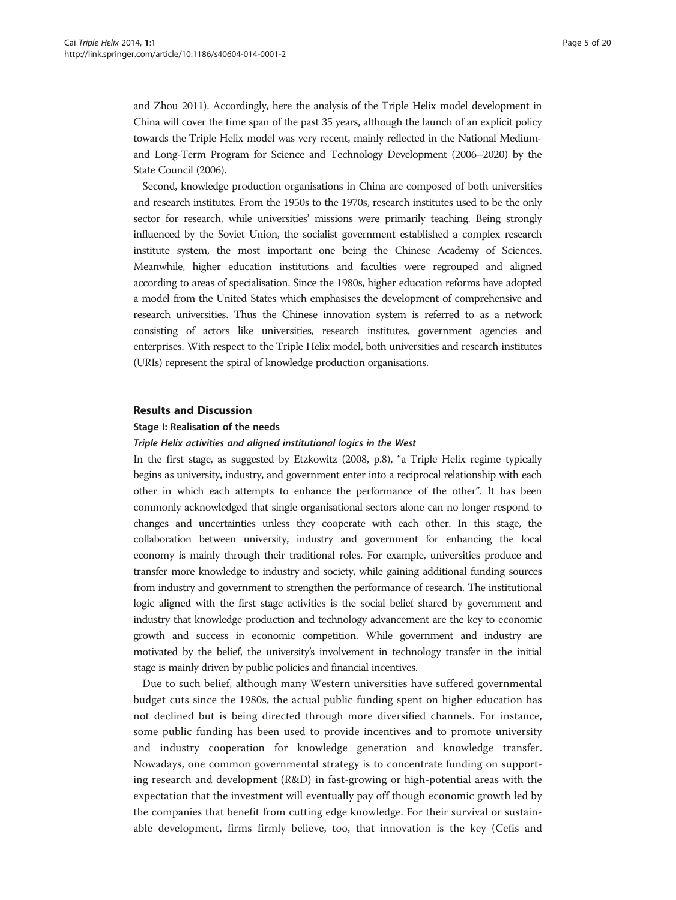and Zhou [2011](#page-19-0)). Accordingly, here the analysis of the Triple Helix model development in China will cover the time span of the past 35 years, although the launch of an explicit policy towards the Triple Helix model was very recent, mainly reflected in the National Mediumand Long-Term Program for Science and Technology Development (2006–2020) by the State Council ([2006\)](#page-18-0).

Second, knowledge production organisations in China are composed of both universities and research institutes. From the 1950s to the 1970s, research institutes used to be the only sector for research, while universities' missions were primarily teaching. Being strongly influenced by the Soviet Union, the socialist government established a complex research institute system, the most important one being the Chinese Academy of Sciences. Meanwhile, higher education institutions and faculties were regrouped and aligned according to areas of specialisation. Since the 1980s, higher education reforms have adopted a model from the United States which emphasises the development of comprehensive and research universities. Thus the Chinese innovation system is referred to as a network consisting of actors like universities, research institutes, government agencies and enterprises. With respect to the Triple Helix model, both universities and research institutes (URIs) represent the spiral of knowledge production organisations.

#### Results and Discussion

# Stage I: Realisation of the needs

#### Triple Helix activities and aligned institutional logics in the West

In the first stage, as suggested by Etzkowitz [\(2008](#page-17-0), p.8), "a Triple Helix regime typically begins as university, industry, and government enter into a reciprocal relationship with each other in which each attempts to enhance the performance of the other". It has been commonly acknowledged that single organisational sectors alone can no longer respond to changes and uncertainties unless they cooperate with each other. In this stage, the collaboration between university, industry and government for enhancing the local economy is mainly through their traditional roles. For example, universities produce and transfer more knowledge to industry and society, while gaining additional funding sources from industry and government to strengthen the performance of research. The institutional logic aligned with the first stage activities is the social belief shared by government and industry that knowledge production and technology advancement are the key to economic growth and success in economic competition. While government and industry are motivated by the belief, the university's involvement in technology transfer in the initial stage is mainly driven by public policies and financial incentives.

Due to such belief, although many Western universities have suffered governmental budget cuts since the 1980s, the actual public funding spent on higher education has not declined but is being directed through more diversified channels. For instance, some public funding has been used to provide incentives and to promote university and industry cooperation for knowledge generation and knowledge transfer. Nowadays, one common governmental strategy is to concentrate funding on supporting research and development (R&D) in fast-growing or high-potential areas with the expectation that the investment will eventually pay off though economic growth led by the companies that benefit from cutting edge knowledge. For their survival or sustainable development, firms firmly believe, too, that innovation is the key (Cefis and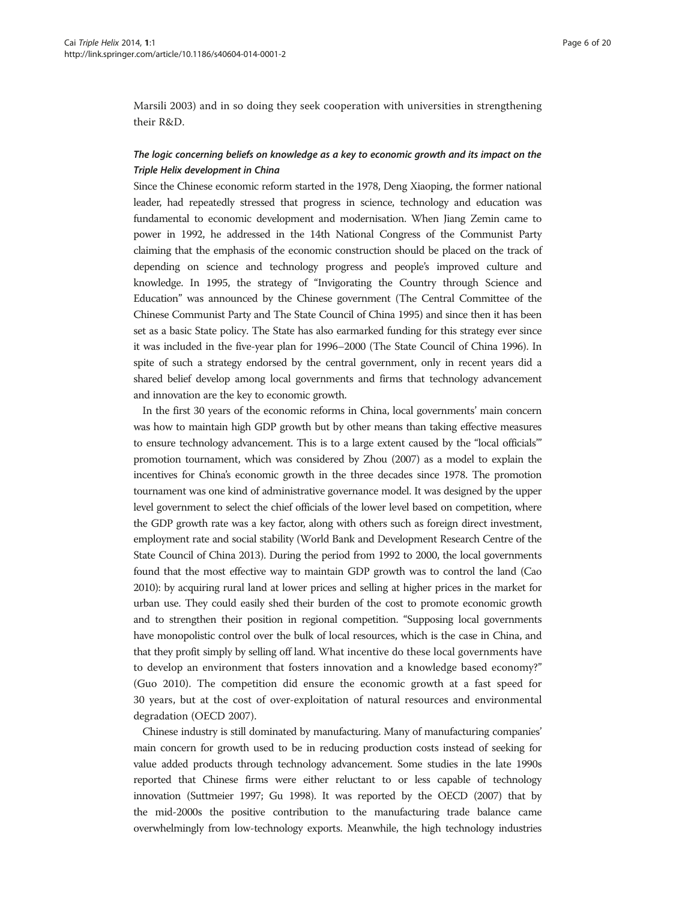Marsili [2003\)](#page-17-0) and in so doing they seek cooperation with universities in strengthening their R&D.

# The logic concerning beliefs on knowledge as a key to economic growth and its impact on the Triple Helix development in China

Since the Chinese economic reform started in the 1978, Deng Xiaoping, the former national leader, had repeatedly stressed that progress in science, technology and education was fundamental to economic development and modernisation. When Jiang Zemin came to power in 1992, he addressed in the 14th National Congress of the Communist Party claiming that the emphasis of the economic construction should be placed on the track of depending on science and technology progress and people's improved culture and knowledge. In 1995, the strategy of "Invigorating the Country through Science and Education" was announced by the Chinese government (The Central Committee of the Chinese Communist Party and The State Council of China [1995\)](#page-18-0) and since then it has been set as a basic State policy. The State has also earmarked funding for this strategy ever since it was included in the five-year plan for 1996–2000 (The State Council of China [1996\)](#page-18-0). In spite of such a strategy endorsed by the central government, only in recent years did a shared belief develop among local governments and firms that technology advancement and innovation are the key to economic growth.

In the first 30 years of the economic reforms in China, local governments' main concern was how to maintain high GDP growth but by other means than taking effective measures to ensure technology advancement. This is to a large extent caused by the "local officials'" promotion tournament, which was considered by Zhou [\(2007](#page-19-0)) as a model to explain the incentives for China's economic growth in the three decades since 1978. The promotion tournament was one kind of administrative governance model. It was designed by the upper level government to select the chief officials of the lower level based on competition, where the GDP growth rate was a key factor, along with others such as foreign direct investment, employment rate and social stability (World Bank and Development Research Centre of the State Council of China [2013](#page-19-0)). During the period from 1992 to 2000, the local governments found that the most effective way to maintain GDP growth was to control the land (Cao [2010\)](#page-17-0): by acquiring rural land at lower prices and selling at higher prices in the market for urban use. They could easily shed their burden of the cost to promote economic growth and to strengthen their position in regional competition. "Supposing local governments have monopolistic control over the bulk of local resources, which is the case in China, and that they profit simply by selling off land. What incentive do these local governments have to develop an environment that fosters innovation and a knowledge based economy?" (Guo [2010](#page-17-0)). The competition did ensure the economic growth at a fast speed for 30 years, but at the cost of over-exploitation of natural resources and environmental degradation (OECD [2007\)](#page-18-0).

Chinese industry is still dominated by manufacturing. Many of manufacturing companies' main concern for growth used to be in reducing production costs instead of seeking for value added products through technology advancement. Some studies in the late 1990s reported that Chinese firms were either reluctant to or less capable of technology innovation (Suttmeier [1997;](#page-18-0) Gu [1998\)](#page-17-0). It was reported by the OECD ([2007](#page-18-0)) that by the mid-2000s the positive contribution to the manufacturing trade balance came overwhelmingly from low-technology exports. Meanwhile, the high technology industries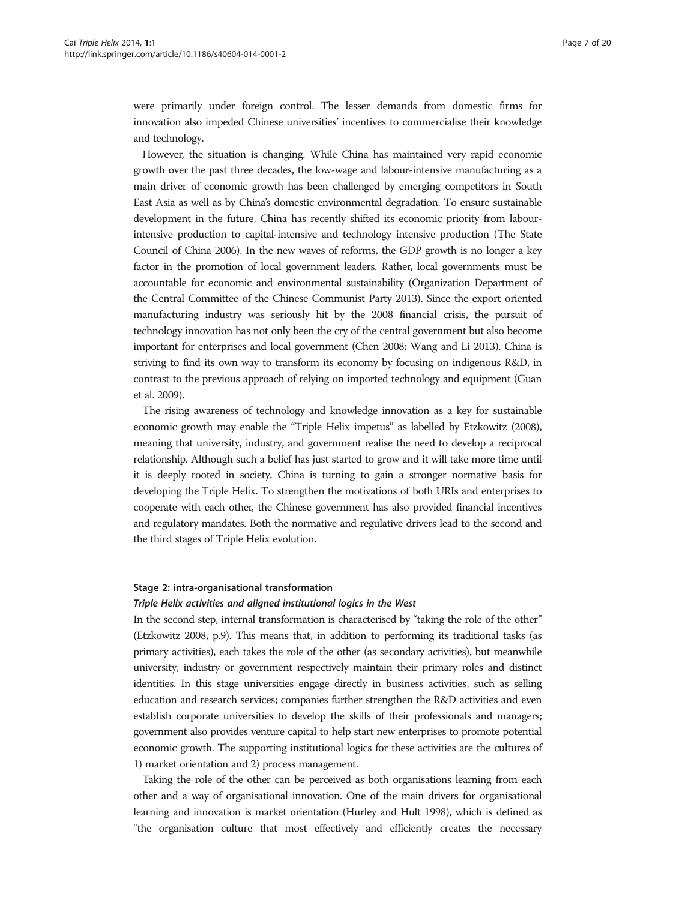were primarily under foreign control. The lesser demands from domestic firms for innovation also impeded Chinese universities' incentives to commercialise their knowledge and technology.

However, the situation is changing. While China has maintained very rapid economic growth over the past three decades, the low-wage and labour-intensive manufacturing as a main driver of economic growth has been challenged by emerging competitors in South East Asia as well as by China's domestic environmental degradation. To ensure sustainable development in the future, China has recently shifted its economic priority from labourintensive production to capital-intensive and technology intensive production (The State Council of China [2006](#page-18-0)). In the new waves of reforms, the GDP growth is no longer a key factor in the promotion of local government leaders. Rather, local governments must be accountable for economic and environmental sustainability (Organization Department of the Central Committee of the Chinese Communist Party [2013\)](#page-18-0). Since the export oriented manufacturing industry was seriously hit by the 2008 financial crisis, the pursuit of technology innovation has not only been the cry of the central government but also become important for enterprises and local government (Chen [2008](#page-17-0); Wang and Li [2013](#page-19-0)). China is striving to find its own way to transform its economy by focusing on indigenous R&D, in contrast to the previous approach of relying on imported technology and equipment (Guan et al. [2009\)](#page-17-0).

The rising awareness of technology and knowledge innovation as a key for sustainable economic growth may enable the "Triple Helix impetus" as labelled by Etzkowitz ([2008](#page-17-0)), meaning that university, industry, and government realise the need to develop a reciprocal relationship. Although such a belief has just started to grow and it will take more time until it is deeply rooted in society, China is turning to gain a stronger normative basis for developing the Triple Helix. To strengthen the motivations of both URIs and enterprises to cooperate with each other, the Chinese government has also provided financial incentives and regulatory mandates. Both the normative and regulative drivers lead to the second and the third stages of Triple Helix evolution.

#### Stage 2: intra-organisational transformation

#### Triple Helix activities and aligned institutional logics in the West

In the second step, internal transformation is characterised by "taking the role of the other" (Etzkowitz [2008,](#page-17-0) p.9). This means that, in addition to performing its traditional tasks (as primary activities), each takes the role of the other (as secondary activities), but meanwhile university, industry or government respectively maintain their primary roles and distinct identities. In this stage universities engage directly in business activities, such as selling education and research services; companies further strengthen the R&D activities and even establish corporate universities to develop the skills of their professionals and managers; government also provides venture capital to help start new enterprises to promote potential economic growth. The supporting institutional logics for these activities are the cultures of 1) market orientation and 2) process management.

Taking the role of the other can be perceived as both organisations learning from each other and a way of organisational innovation. One of the main drivers for organisational learning and innovation is market orientation (Hurley and Hult [1998](#page-17-0)), which is defined as "the organisation culture that most effectively and efficiently creates the necessary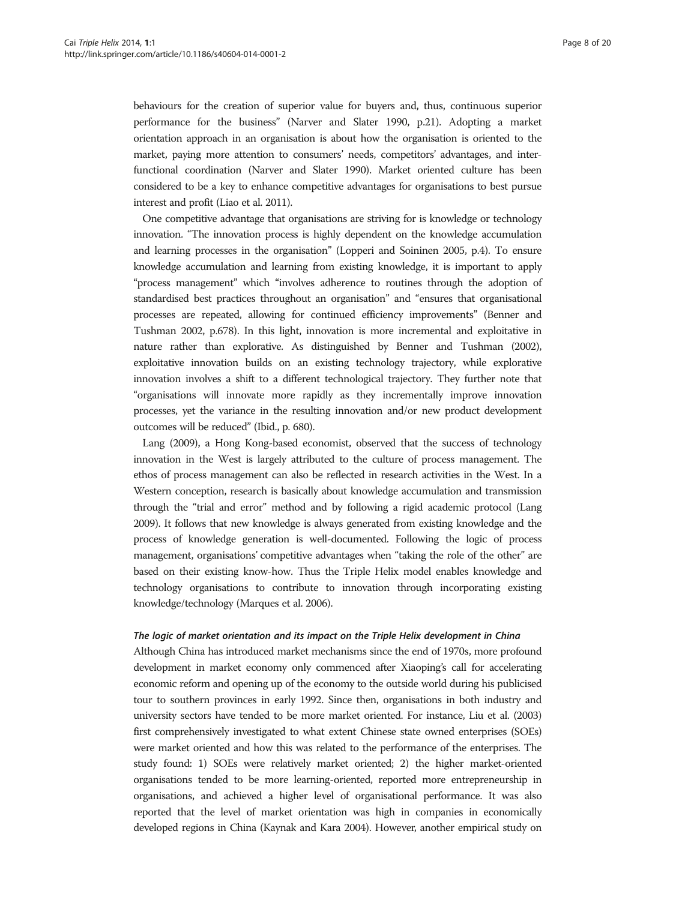behaviours for the creation of superior value for buyers and, thus, continuous superior performance for the business" (Narver and Slater [1990,](#page-18-0) p.21). Adopting a market orientation approach in an organisation is about how the organisation is oriented to the market, paying more attention to consumers' needs, competitors' advantages, and interfunctional coordination (Narver and Slater [1990](#page-18-0)). Market oriented culture has been considered to be a key to enhance competitive advantages for organisations to best pursue interest and profit (Liao et al. [2011\)](#page-18-0).

One competitive advantage that organisations are striving for is knowledge or technology innovation. "The innovation process is highly dependent on the knowledge accumulation and learning processes in the organisation" (Lopperi and Soininen [2005](#page-18-0), p.4). To ensure knowledge accumulation and learning from existing knowledge, it is important to apply "process management" which "involves adherence to routines through the adoption of standardised best practices throughout an organisation" and "ensures that organisational processes are repeated, allowing for continued efficiency improvements" (Benner and Tushman [2002](#page-16-0), p.678). In this light, innovation is more incremental and exploitative in nature rather than explorative. As distinguished by Benner and Tushman ([2002](#page-16-0)), exploitative innovation builds on an existing technology trajectory, while explorative innovation involves a shift to a different technological trajectory. They further note that "organisations will innovate more rapidly as they incrementally improve innovation processes, yet the variance in the resulting innovation and/or new product development outcomes will be reduced" (Ibid., p. 680).

Lang ([2009](#page-18-0)), a Hong Kong-based economist, observed that the success of technology innovation in the West is largely attributed to the culture of process management. The ethos of process management can also be reflected in research activities in the West. In a Western conception, research is basically about knowledge accumulation and transmission through the "trial and error" method and by following a rigid academic protocol (Lang [2009\)](#page-18-0). It follows that new knowledge is always generated from existing knowledge and the process of knowledge generation is well-documented. Following the logic of process management, organisations' competitive advantages when "taking the role of the other" are based on their existing know-how. Thus the Triple Helix model enables knowledge and technology organisations to contribute to innovation through incorporating existing knowledge/technology (Marques et al. [2006](#page-18-0)).

#### The logic of market orientation and its impact on the Triple Helix development in China

Although China has introduced market mechanisms since the end of 1970s, more profound development in market economy only commenced after Xiaoping's call for accelerating economic reform and opening up of the economy to the outside world during his publicised tour to southern provinces in early 1992. Since then, organisations in both industry and university sectors have tended to be more market oriented. For instance, Liu et al. ([2003](#page-18-0)) first comprehensively investigated to what extent Chinese state owned enterprises (SOEs) were market oriented and how this was related to the performance of the enterprises. The study found: 1) SOEs were relatively market oriented; 2) the higher market-oriented organisations tended to be more learning-oriented, reported more entrepreneurship in organisations, and achieved a higher level of organisational performance. It was also reported that the level of market orientation was high in companies in economically developed regions in China (Kaynak and Kara [2004](#page-18-0)). However, another empirical study on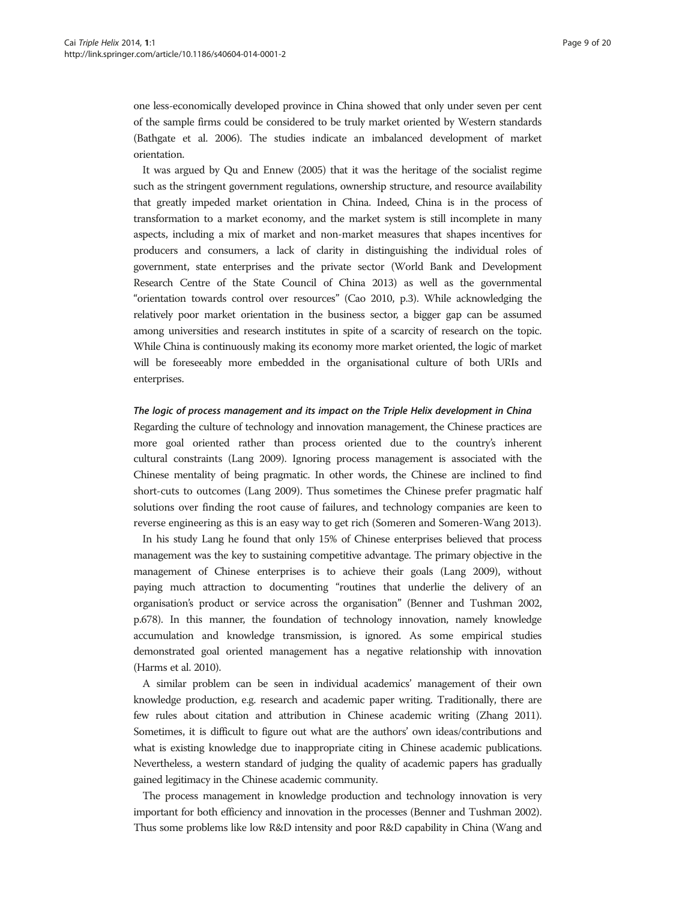one less-economically developed province in China showed that only under seven per cent of the sample firms could be considered to be truly market oriented by Western standards (Bathgate et al. [2006](#page-16-0)). The studies indicate an imbalanced development of market orientation.

It was argued by Qu and Ennew [\(2005](#page-18-0)) that it was the heritage of the socialist regime such as the stringent government regulations, ownership structure, and resource availability that greatly impeded market orientation in China. Indeed, China is in the process of transformation to a market economy, and the market system is still incomplete in many aspects, including a mix of market and non-market measures that shapes incentives for producers and consumers, a lack of clarity in distinguishing the individual roles of government, state enterprises and the private sector (World Bank and Development Research Centre of the State Council of China [2013\)](#page-19-0) as well as the governmental "orientation towards control over resources" (Cao [2010,](#page-17-0) p.3). While acknowledging the relatively poor market orientation in the business sector, a bigger gap can be assumed among universities and research institutes in spite of a scarcity of research on the topic. While China is continuously making its economy more market oriented, the logic of market will be foreseeably more embedded in the organisational culture of both URIs and enterprises.

# The logic of process management and its impact on the Triple Helix development in China

Regarding the culture of technology and innovation management, the Chinese practices are more goal oriented rather than process oriented due to the country's inherent cultural constraints (Lang [2009\)](#page-18-0). Ignoring process management is associated with the Chinese mentality of being pragmatic. In other words, the Chinese are inclined to find short-cuts to outcomes (Lang [2009](#page-18-0)). Thus sometimes the Chinese prefer pragmatic half solutions over finding the root cause of failures, and technology companies are keen to reverse engineering as this is an easy way to get rich (Someren and Someren-Wang [2013\)](#page-18-0).

In his study Lang he found that only 15% of Chinese enterprises believed that process management was the key to sustaining competitive advantage. The primary objective in the management of Chinese enterprises is to achieve their goals (Lang [2009\)](#page-18-0), without paying much attraction to documenting "routines that underlie the delivery of an organisation's product or service across the organisation" (Benner and Tushman [2002](#page-16-0), p.678). In this manner, the foundation of technology innovation, namely knowledge accumulation and knowledge transmission, is ignored. As some empirical studies demonstrated goal oriented management has a negative relationship with innovation (Harms et al. [2010\)](#page-17-0).

A similar problem can be seen in individual academics' management of their own knowledge production, e.g. research and academic paper writing. Traditionally, there are few rules about citation and attribution in Chinese academic writing (Zhang [2011](#page-19-0)). Sometimes, it is difficult to figure out what are the authors' own ideas/contributions and what is existing knowledge due to inappropriate citing in Chinese academic publications. Nevertheless, a western standard of judging the quality of academic papers has gradually gained legitimacy in the Chinese academic community.

The process management in knowledge production and technology innovation is very important for both efficiency and innovation in the processes (Benner and Tushman [2002](#page-16-0)). Thus some problems like low R&D intensity and poor R&D capability in China (Wang and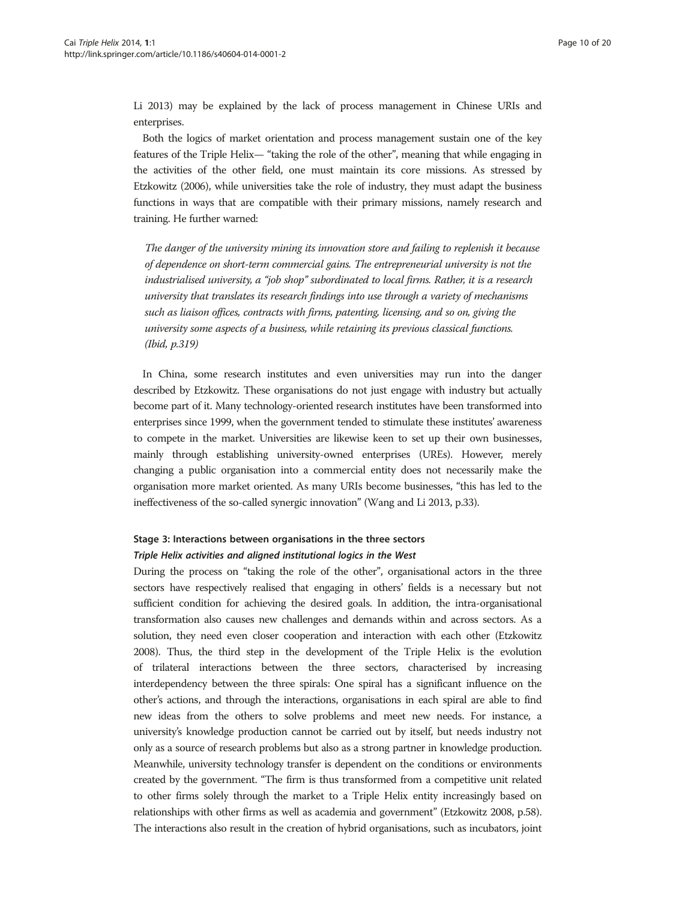Li [2013](#page-19-0)) may be explained by the lack of process management in Chinese URIs and enterprises.

Both the logics of market orientation and process management sustain one of the key features of the Triple Helix— "taking the role of the other", meaning that while engaging in the activities of the other field, one must maintain its core missions. As stressed by Etzkowitz [\(2006\)](#page-17-0), while universities take the role of industry, they must adapt the business functions in ways that are compatible with their primary missions, namely research and training. He further warned:

The danger of the university mining its innovation store and failing to replenish it because of dependence on short-term commercial gains. The entrepreneurial university is not the industrialised university, a "job shop" subordinated to local firms. Rather, it is a research university that translates its research findings into use through a variety of mechanisms such as liaison offices, contracts with firms, patenting, licensing, and so on, giving the university some aspects of a business, while retaining its previous classical functions. (Ibid, p.319)

In China, some research institutes and even universities may run into the danger described by Etzkowitz. These organisations do not just engage with industry but actually become part of it. Many technology-oriented research institutes have been transformed into enterprises since 1999, when the government tended to stimulate these institutes' awareness to compete in the market. Universities are likewise keen to set up their own businesses, mainly through establishing university-owned enterprises (UREs). However, merely changing a public organisation into a commercial entity does not necessarily make the organisation more market oriented. As many URIs become businesses, "this has led to the ineffectiveness of the so-called synergic innovation" (Wang and Li [2013](#page-19-0), p.33).

# Stage 3: Interactions between organisations in the three sectors Triple Helix activities and aligned institutional logics in the West

During the process on "taking the role of the other", organisational actors in the three sectors have respectively realised that engaging in others' fields is a necessary but not sufficient condition for achieving the desired goals. In addition, the intra-organisational transformation also causes new challenges and demands within and across sectors. As a solution, they need even closer cooperation and interaction with each other (Etzkowitz [2008\)](#page-17-0). Thus, the third step in the development of the Triple Helix is the evolution of trilateral interactions between the three sectors, characterised by increasing interdependency between the three spirals: One spiral has a significant influence on the other's actions, and through the interactions, organisations in each spiral are able to find new ideas from the others to solve problems and meet new needs. For instance, a university's knowledge production cannot be carried out by itself, but needs industry not only as a source of research problems but also as a strong partner in knowledge production. Meanwhile, university technology transfer is dependent on the conditions or environments created by the government. "The firm is thus transformed from a competitive unit related to other firms solely through the market to a Triple Helix entity increasingly based on relationships with other firms as well as academia and government" (Etzkowitz [2008](#page-17-0), p.58). The interactions also result in the creation of hybrid organisations, such as incubators, joint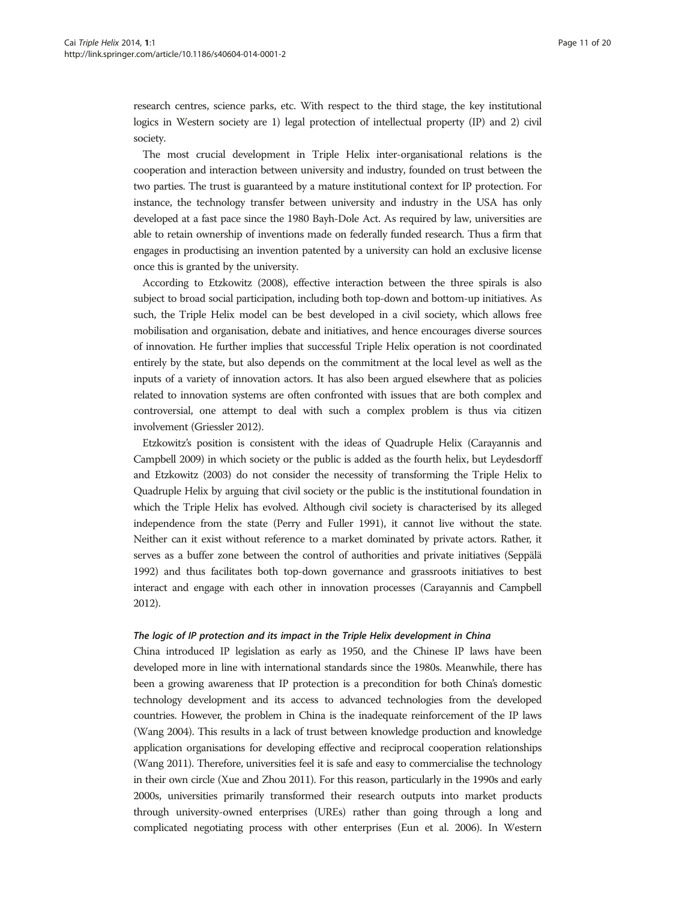research centres, science parks, etc. With respect to the third stage, the key institutional logics in Western society are 1) legal protection of intellectual property (IP) and 2) civil society.

The most crucial development in Triple Helix inter-organisational relations is the cooperation and interaction between university and industry, founded on trust between the two parties. The trust is guaranteed by a mature institutional context for IP protection. For instance, the technology transfer between university and industry in the USA has only developed at a fast pace since the 1980 Bayh-Dole Act. As required by law, universities are able to retain ownership of inventions made on federally funded research. Thus a firm that engages in productising an invention patented by a university can hold an exclusive license once this is granted by the university.

According to Etzkowitz [\(2008\)](#page-17-0), effective interaction between the three spirals is also subject to broad social participation, including both top-down and bottom-up initiatives. As such, the Triple Helix model can be best developed in a civil society, which allows free mobilisation and organisation, debate and initiatives, and hence encourages diverse sources of innovation. He further implies that successful Triple Helix operation is not coordinated entirely by the state, but also depends on the commitment at the local level as well as the inputs of a variety of innovation actors. It has also been argued elsewhere that as policies related to innovation systems are often confronted with issues that are both complex and controversial, one attempt to deal with such a complex problem is thus via citizen involvement (Griessler [2012](#page-17-0)).

Etzkowitz's position is consistent with the ideas of Quadruple Helix (Carayannis and Campbell [2009](#page-17-0)) in which society or the public is added as the fourth helix, but Leydesdorff and Etzkowitz [\(2003\)](#page-18-0) do not consider the necessity of transforming the Triple Helix to Quadruple Helix by arguing that civil society or the public is the institutional foundation in which the Triple Helix has evolved. Although civil society is characterised by its alleged independence from the state (Perry and Fuller [1991](#page-18-0)), it cannot live without the state. Neither can it exist without reference to a market dominated by private actors. Rather, it serves as a buffer zone between the control of authorities and private initiatives (Seppälä [1992\)](#page-18-0) and thus facilitates both top-down governance and grassroots initiatives to best interact and engage with each other in innovation processes (Carayannis and Campbell [2012\)](#page-17-0).

#### The logic of IP protection and its impact in the Triple Helix development in China

China introduced IP legislation as early as 1950, and the Chinese IP laws have been developed more in line with international standards since the 1980s. Meanwhile, there has been a growing awareness that IP protection is a precondition for both China's domestic technology development and its access to advanced technologies from the developed countries. However, the problem in China is the inadequate reinforcement of the IP laws (Wang [2004](#page-19-0)). This results in a lack of trust between knowledge production and knowledge application organisations for developing effective and reciprocal cooperation relationships (Wang [2011\)](#page-19-0). Therefore, universities feel it is safe and easy to commercialise the technology in their own circle (Xue and Zhou [2011\)](#page-19-0). For this reason, particularly in the 1990s and early 2000s, universities primarily transformed their research outputs into market products through university-owned enterprises (UREs) rather than going through a long and complicated negotiating process with other enterprises (Eun et al. [2006\)](#page-17-0). In Western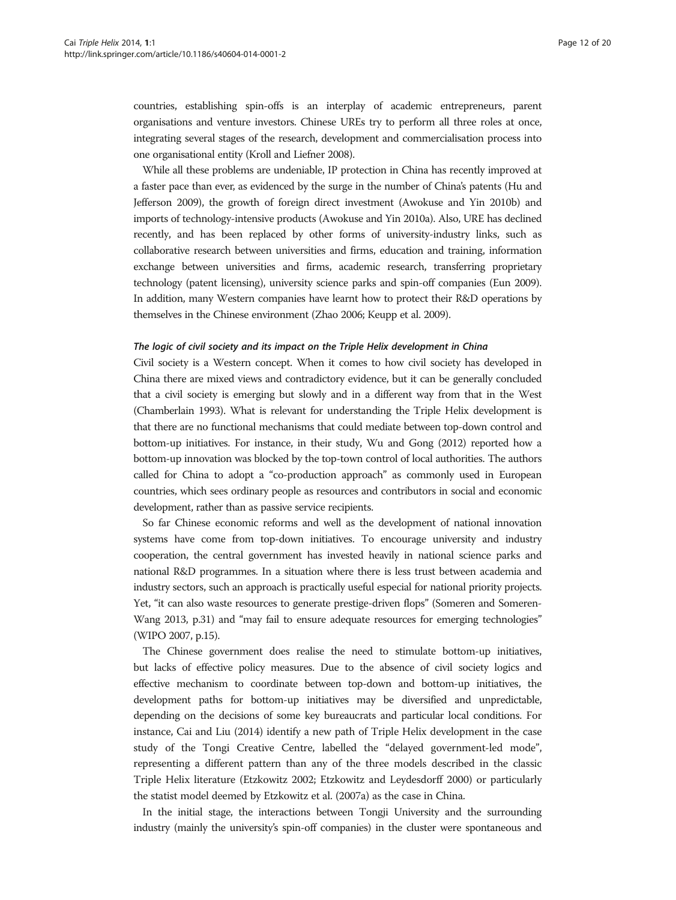countries, establishing spin-offs is an interplay of academic entrepreneurs, parent organisations and venture investors. Chinese UREs try to perform all three roles at once, integrating several stages of the research, development and commercialisation process into one organisational entity (Kroll and Liefner [2008\)](#page-18-0).

While all these problems are undeniable, IP protection in China has recently improved at a faster pace than ever, as evidenced by the surge in the number of China's patents (Hu and Jefferson [2009\)](#page-17-0), the growth of foreign direct investment (Awokuse and Yin [2010b\)](#page-16-0) and imports of technology-intensive products (Awokuse and Yin [2010a\)](#page-16-0). Also, URE has declined recently, and has been replaced by other forms of university-industry links, such as collaborative research between universities and firms, education and training, information exchange between universities and firms, academic research, transferring proprietary technology (patent licensing), university science parks and spin-off companies (Eun [2009\)](#page-17-0). In addition, many Western companies have learnt how to protect their R&D operations by themselves in the Chinese environment (Zhao [2006;](#page-19-0) Keupp et al. [2009](#page-18-0)).

#### The logic of civil society and its impact on the Triple Helix development in China

Civil society is a Western concept. When it comes to how civil society has developed in China there are mixed views and contradictory evidence, but it can be generally concluded that a civil society is emerging but slowly and in a different way from that in the West (Chamberlain [1993\)](#page-17-0). What is relevant for understanding the Triple Helix development is that there are no functional mechanisms that could mediate between top-down control and bottom-up initiatives. For instance, in their study, Wu and Gong [\(2012\)](#page-19-0) reported how a bottom-up innovation was blocked by the top-town control of local authorities. The authors called for China to adopt a "co-production approach" as commonly used in European countries, which sees ordinary people as resources and contributors in social and economic development, rather than as passive service recipients.

So far Chinese economic reforms and well as the development of national innovation systems have come from top-down initiatives. To encourage university and industry cooperation, the central government has invested heavily in national science parks and national R&D programmes. In a situation where there is less trust between academia and industry sectors, such an approach is practically useful especial for national priority projects. Yet, "it can also waste resources to generate prestige-driven flops" (Someren and Someren-Wang [2013,](#page-18-0) p.31) and "may fail to ensure adequate resources for emerging technologies" (WIPO [2007,](#page-19-0) p.15).

The Chinese government does realise the need to stimulate bottom-up initiatives, but lacks of effective policy measures. Due to the absence of civil society logics and effective mechanism to coordinate between top-down and bottom-up initiatives, the development paths for bottom-up initiatives may be diversified and unpredictable, depending on the decisions of some key bureaucrats and particular local conditions. For instance, Cai and Liu [\(2014\)](#page-17-0) identify a new path of Triple Helix development in the case study of the Tongi Creative Centre, labelled the "delayed government-led mode", representing a different pattern than any of the three models described in the classic Triple Helix literature (Etzkowitz [2002](#page-17-0); Etzkowitz and Leydesdorff [2000](#page-17-0)) or particularly the statist model deemed by Etzkowitz et al. ([2007a](#page-17-0)) as the case in China.

In the initial stage, the interactions between Tongji University and the surrounding industry (mainly the university's spin-off companies) in the cluster were spontaneous and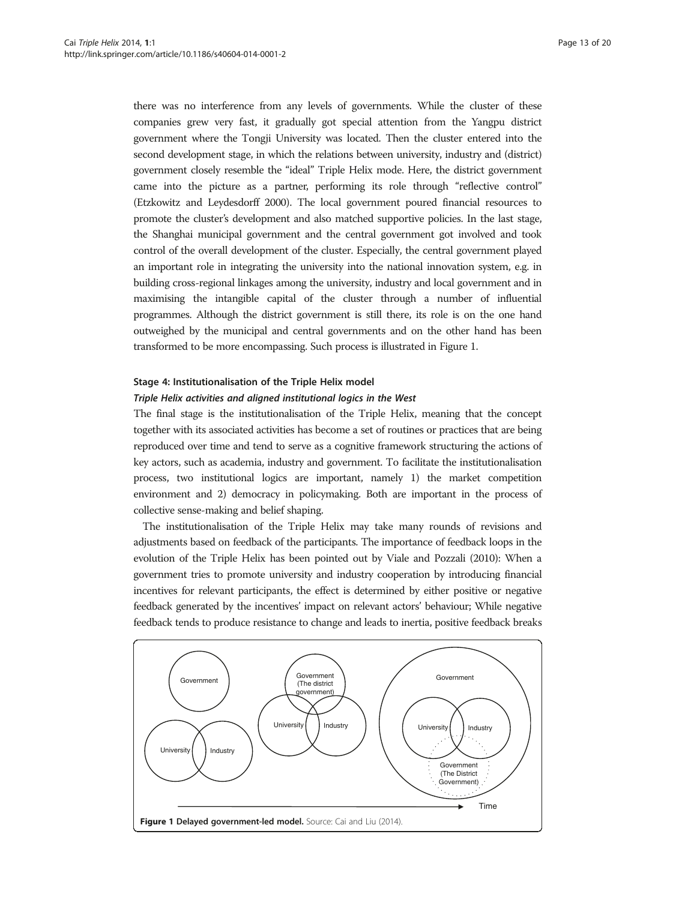there was no interference from any levels of governments. While the cluster of these companies grew very fast, it gradually got special attention from the Yangpu district government where the Tongji University was located. Then the cluster entered into the second development stage, in which the relations between university, industry and (district) government closely resemble the "ideal" Triple Helix mode. Here, the district government came into the picture as a partner, performing its role through "reflective control" (Etzkowitz and Leydesdorff [2000](#page-17-0)). The local government poured financial resources to promote the cluster's development and also matched supportive policies. In the last stage, the Shanghai municipal government and the central government got involved and took control of the overall development of the cluster. Especially, the central government played an important role in integrating the university into the national innovation system, e.g. in building cross-regional linkages among the university, industry and local government and in maximising the intangible capital of the cluster through a number of influential programmes. Although the district government is still there, its role is on the one hand outweighed by the municipal and central governments and on the other hand has been transformed to be more encompassing. Such process is illustrated in Figure 1.

# Stage 4: Institutionalisation of the Triple Helix model

# Triple Helix activities and aligned institutional logics in the West

The final stage is the institutionalisation of the Triple Helix, meaning that the concept together with its associated activities has become a set of routines or practices that are being reproduced over time and tend to serve as a cognitive framework structuring the actions of key actors, such as academia, industry and government. To facilitate the institutionalisation process, two institutional logics are important, namely 1) the market competition environment and 2) democracy in policymaking. Both are important in the process of collective sense-making and belief shaping.

The institutionalisation of the Triple Helix may take many rounds of revisions and adjustments based on feedback of the participants. The importance of feedback loops in the evolution of the Triple Helix has been pointed out by Viale and Pozzali [\(2010](#page-19-0)): When a government tries to promote university and industry cooperation by introducing financial incentives for relevant participants, the effect is determined by either positive or negative feedback generated by the incentives' impact on relevant actors' behaviour; While negative feedback tends to produce resistance to change and leads to inertia, positive feedback breaks

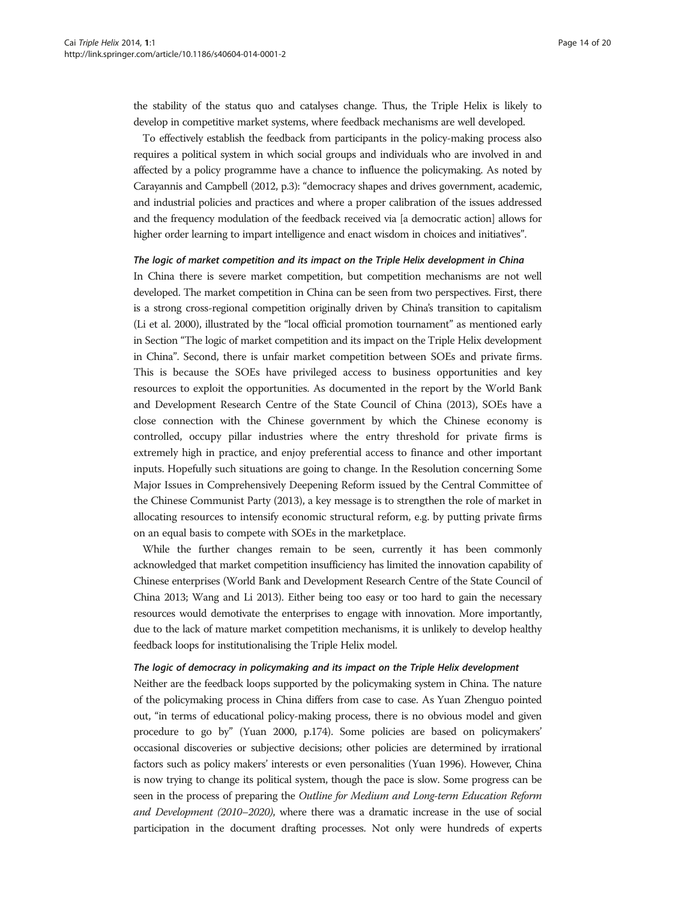the stability of the status quo and catalyses change. Thus, the Triple Helix is likely to develop in competitive market systems, where feedback mechanisms are well developed.

To effectively establish the feedback from participants in the policy-making process also requires a political system in which social groups and individuals who are involved in and affected by a policy programme have a chance to influence the policymaking. As noted by Carayannis and Campbell [\(2012,](#page-17-0) p.3): "democracy shapes and drives government, academic, and industrial policies and practices and where a proper calibration of the issues addressed and the frequency modulation of the feedback received via [a democratic action] allows for higher order learning to impart intelligence and enact wisdom in choices and initiatives".

#### The logic of market competition and its impact on the Triple Helix development in China

In China there is severe market competition, but competition mechanisms are not well developed. The market competition in China can be seen from two perspectives. First, there is a strong cross-regional competition originally driven by China's transition to capitalism (Li et al. [2000\)](#page-18-0), illustrated by the "local official promotion tournament" as mentioned early in Section "The logic of market competition and its impact on the Triple Helix development in China". Second, there is unfair market competition between SOEs and private firms. This is because the SOEs have privileged access to business opportunities and key resources to exploit the opportunities. As documented in the report by the World Bank and Development Research Centre of the State Council of China ([2013\)](#page-19-0), SOEs have a close connection with the Chinese government by which the Chinese economy is controlled, occupy pillar industries where the entry threshold for private firms is extremely high in practice, and enjoy preferential access to finance and other important inputs. Hopefully such situations are going to change. In the Resolution concerning Some Major Issues in Comprehensively Deepening Reform issued by the Central Committee of the Chinese Communist Party [\(2013\)](#page-18-0), a key message is to strengthen the role of market in allocating resources to intensify economic structural reform, e.g. by putting private firms on an equal basis to compete with SOEs in the marketplace.

While the further changes remain to be seen, currently it has been commonly acknowledged that market competition insufficiency has limited the innovation capability of Chinese enterprises (World Bank and Development Research Centre of the State Council of China [2013;](#page-19-0) Wang and Li [2013](#page-19-0)). Either being too easy or too hard to gain the necessary resources would demotivate the enterprises to engage with innovation. More importantly, due to the lack of mature market competition mechanisms, it is unlikely to develop healthy feedback loops for institutionalising the Triple Helix model.

#### The logic of democracy in policymaking and its impact on the Triple Helix development

Neither are the feedback loops supported by the policymaking system in China. The nature of the policymaking process in China differs from case to case. As Yuan Zhenguo pointed out, "in terms of educational policy-making process, there is no obvious model and given procedure to go by" (Yuan [2000,](#page-19-0) p.174). Some policies are based on policymakers' occasional discoveries or subjective decisions; other policies are determined by irrational factors such as policy makers' interests or even personalities (Yuan [1996\)](#page-19-0). However, China is now trying to change its political system, though the pace is slow. Some progress can be seen in the process of preparing the Outline for Medium and Long-term Education Reform and Development (2010–2020), where there was a dramatic increase in the use of social participation in the document drafting processes. Not only were hundreds of experts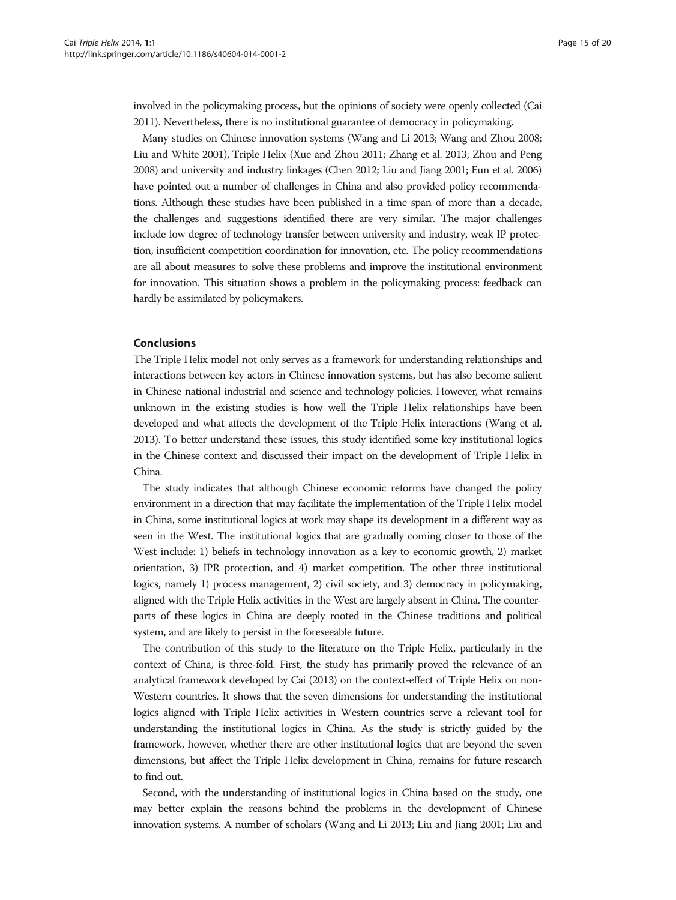involved in the policymaking process, but the opinions of society were openly collected (Cai [2011\)](#page-17-0). Nevertheless, there is no institutional guarantee of democracy in policymaking.

Many studies on Chinese innovation systems (Wang and Li [2013](#page-19-0); Wang and Zhou [2008](#page-19-0); Liu and White [2001](#page-18-0)), Triple Helix (Xue and Zhou [2011;](#page-19-0) Zhang et al. [2013](#page-19-0); Zhou and Peng [2008\)](#page-19-0) and university and industry linkages (Chen [2012](#page-17-0); Liu and Jiang [2001;](#page-18-0) Eun et al. [2006](#page-17-0)) have pointed out a number of challenges in China and also provided policy recommendations. Although these studies have been published in a time span of more than a decade, the challenges and suggestions identified there are very similar. The major challenges include low degree of technology transfer between university and industry, weak IP protection, insufficient competition coordination for innovation, etc. The policy recommendations are all about measures to solve these problems and improve the institutional environment for innovation. This situation shows a problem in the policymaking process: feedback can hardly be assimilated by policymakers.

# Conclusions

The Triple Helix model not only serves as a framework for understanding relationships and interactions between key actors in Chinese innovation systems, but has also become salient in Chinese national industrial and science and technology policies. However, what remains unknown in the existing studies is how well the Triple Helix relationships have been developed and what affects the development of the Triple Helix interactions (Wang et al. [2013\)](#page-19-0). To better understand these issues, this study identified some key institutional logics in the Chinese context and discussed their impact on the development of Triple Helix in China.

The study indicates that although Chinese economic reforms have changed the policy environment in a direction that may facilitate the implementation of the Triple Helix model in China, some institutional logics at work may shape its development in a different way as seen in the West. The institutional logics that are gradually coming closer to those of the West include: 1) beliefs in technology innovation as a key to economic growth, 2) market orientation, 3) IPR protection, and 4) market competition. The other three institutional logics, namely 1) process management, 2) civil society, and 3) democracy in policymaking, aligned with the Triple Helix activities in the West are largely absent in China. The counterparts of these logics in China are deeply rooted in the Chinese traditions and political system, and are likely to persist in the foreseeable future.

The contribution of this study to the literature on the Triple Helix, particularly in the context of China, is three-fold. First, the study has primarily proved the relevance of an analytical framework developed by Cai [\(2013](#page-17-0)) on the context-effect of Triple Helix on non-Western countries. It shows that the seven dimensions for understanding the institutional logics aligned with Triple Helix activities in Western countries serve a relevant tool for understanding the institutional logics in China. As the study is strictly guided by the framework, however, whether there are other institutional logics that are beyond the seven dimensions, but affect the Triple Helix development in China, remains for future research to find out.

Second, with the understanding of institutional logics in China based on the study, one may better explain the reasons behind the problems in the development of Chinese innovation systems. A number of scholars (Wang and Li [2013;](#page-19-0) Liu and Jiang [2001](#page-18-0); Liu and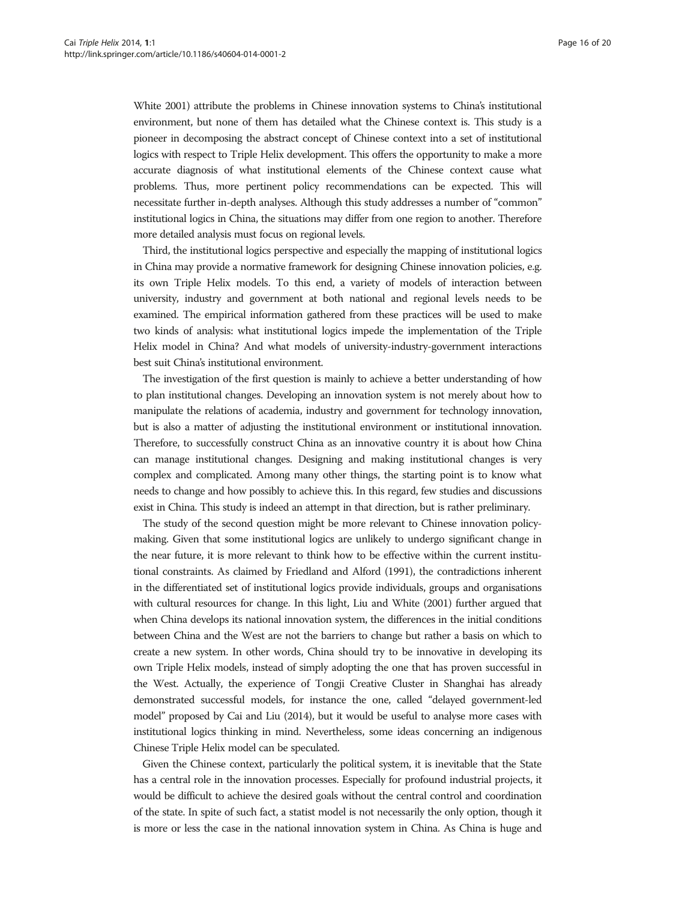White [2001](#page-18-0)) attribute the problems in Chinese innovation systems to China's institutional environment, but none of them has detailed what the Chinese context is. This study is a pioneer in decomposing the abstract concept of Chinese context into a set of institutional logics with respect to Triple Helix development. This offers the opportunity to make a more accurate diagnosis of what institutional elements of the Chinese context cause what problems. Thus, more pertinent policy recommendations can be expected. This will necessitate further in-depth analyses. Although this study addresses a number of "common" institutional logics in China, the situations may differ from one region to another. Therefore more detailed analysis must focus on regional levels.

Third, the institutional logics perspective and especially the mapping of institutional logics in China may provide a normative framework for designing Chinese innovation policies, e.g. its own Triple Helix models. To this end, a variety of models of interaction between university, industry and government at both national and regional levels needs to be examined. The empirical information gathered from these practices will be used to make two kinds of analysis: what institutional logics impede the implementation of the Triple Helix model in China? And what models of university-industry-government interactions best suit China's institutional environment.

The investigation of the first question is mainly to achieve a better understanding of how to plan institutional changes. Developing an innovation system is not merely about how to manipulate the relations of academia, industry and government for technology innovation, but is also a matter of adjusting the institutional environment or institutional innovation. Therefore, to successfully construct China as an innovative country it is about how China can manage institutional changes. Designing and making institutional changes is very complex and complicated. Among many other things, the starting point is to know what needs to change and how possibly to achieve this. In this regard, few studies and discussions exist in China. This study is indeed an attempt in that direction, but is rather preliminary.

The study of the second question might be more relevant to Chinese innovation policymaking. Given that some institutional logics are unlikely to undergo significant change in the near future, it is more relevant to think how to be effective within the current institutional constraints. As claimed by Friedland and Alford [\(1991\)](#page-17-0), the contradictions inherent in the differentiated set of institutional logics provide individuals, groups and organisations with cultural resources for change. In this light, Liu and White [\(2001](#page-18-0)) further argued that when China develops its national innovation system, the differences in the initial conditions between China and the West are not the barriers to change but rather a basis on which to create a new system. In other words, China should try to be innovative in developing its own Triple Helix models, instead of simply adopting the one that has proven successful in the West. Actually, the experience of Tongji Creative Cluster in Shanghai has already demonstrated successful models, for instance the one, called "delayed government-led model" proposed by Cai and Liu [\(2014](#page-17-0)), but it would be useful to analyse more cases with institutional logics thinking in mind. Nevertheless, some ideas concerning an indigenous Chinese Triple Helix model can be speculated.

Given the Chinese context, particularly the political system, it is inevitable that the State has a central role in the innovation processes. Especially for profound industrial projects, it would be difficult to achieve the desired goals without the central control and coordination of the state. In spite of such fact, a statist model is not necessarily the only option, though it is more or less the case in the national innovation system in China. As China is huge and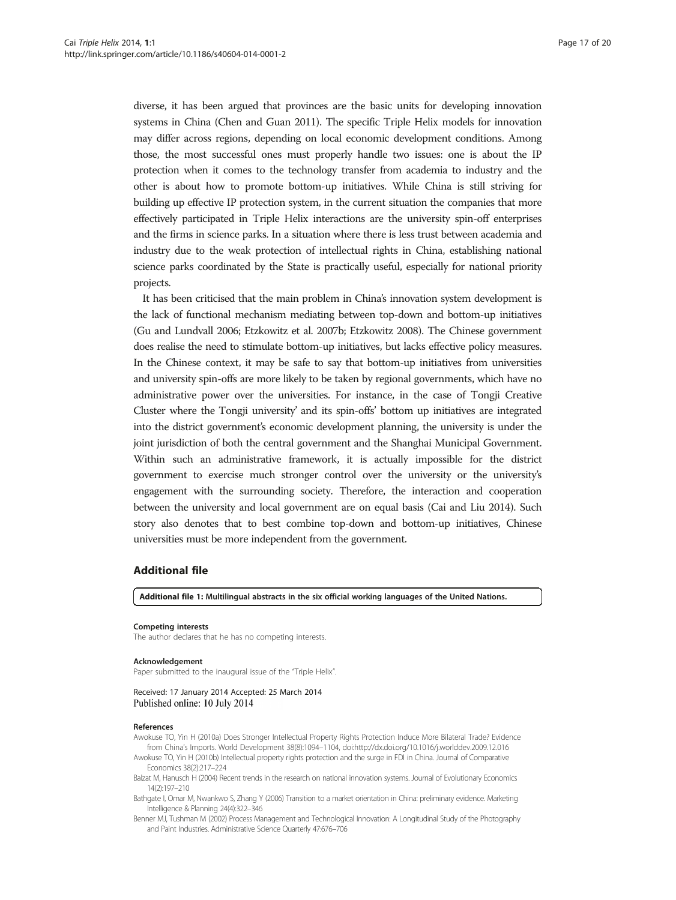<span id="page-16-0"></span>diverse, it has been argued that provinces are the basic units for developing innovation systems in China (Chen and Guan [2011\)](#page-17-0). The specific Triple Helix models for innovation may differ across regions, depending on local economic development conditions. Among those, the most successful ones must properly handle two issues: one is about the IP protection when it comes to the technology transfer from academia to industry and the other is about how to promote bottom-up initiatives. While China is still striving for building up effective IP protection system, in the current situation the companies that more effectively participated in Triple Helix interactions are the university spin-off enterprises and the firms in science parks. In a situation where there is less trust between academia and industry due to the weak protection of intellectual rights in China, establishing national science parks coordinated by the State is practically useful, especially for national priority projects.

It has been criticised that the main problem in China's innovation system development is the lack of functional mechanism mediating between top-down and bottom-up initiatives (Gu and Lundvall [2006](#page-17-0); Etzkowitz et al. [2007b](#page-17-0); Etzkowitz [2008\)](#page-17-0). The Chinese government does realise the need to stimulate bottom-up initiatives, but lacks effective policy measures. In the Chinese context, it may be safe to say that bottom-up initiatives from universities and university spin-offs are more likely to be taken by regional governments, which have no administrative power over the universities. For instance, in the case of Tongji Creative Cluster where the Tongji university' and its spin-offs' bottom up initiatives are integrated into the district government's economic development planning, the university is under the joint jurisdiction of both the central government and the Shanghai Municipal Government. Within such an administrative framework, it is actually impossible for the district government to exercise much stronger control over the university or the university's engagement with the surrounding society. Therefore, the interaction and cooperation between the university and local government are on equal basis (Cai and Liu [2014\)](#page-17-0). Such story also denotes that to best combine top-down and bottom-up initiatives, Chinese universities must be more independent from the government.

#### Additional file

[Additional file 1:](http://www.biomedcentral.com/content/supplementary/40604_2014_1_MOESM1_ESM.docx) Multilingual abstracts in the six official working languages of the United Nations.

#### Competing interests

The author declares that he has no competing interests.

#### Acknowledgement

Paper submitted to the inaugural issue of the "Triple Helix".

#### Received: 17 January 2014 Accepted: 25 March 2014 Published online: 10 July 2014

#### References

Awokuse TO, Yin H (2010a) Does Stronger Intellectual Property Rights Protection Induce More Bilateral Trade? Evidence from China's Imports. World Development 38(8):1094–1104, doi:http://dx.doi.org/10.1016/j.worlddev.2009.12.016

Awokuse TO, Yin H (2010b) Intellectual property rights protection and the surge in FDI in China. Journal of Comparative Economics 38(2):217–224

Balzat M, Hanusch H (2004) Recent trends in the research on national innovation systems. Journal of Evolutionary Economics 14(2):197–210

Bathgate I, Omar M, Nwankwo S, Zhang Y (2006) Transition to a market orientation in China: preliminary evidence. Marketing Intelligence & Planning 24(4):322–346

Benner MJ, Tushman M (2002) Process Management and Technological Innovation: A Longitudinal Study of the Photography and Paint Industries. Administrative Science Quarterly 47:676–706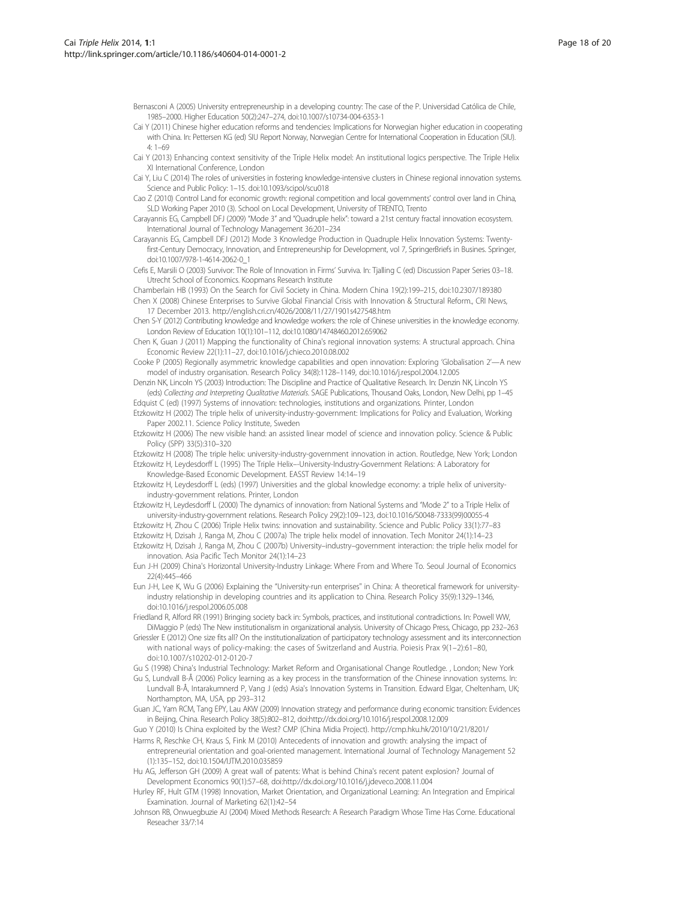<span id="page-17-0"></span>Bernasconi A (2005) University entrepreneurship in a developing country: The case of the P. Universidad Católica de Chile, 1985–2000. Higher Education 50(2):247–274, doi:10.1007/s10734-004-6353-1

- Cai Y (2011) Chinese higher education reforms and tendencies: Implications for Norwegian higher education in cooperating with China. In: Pettersen KG (ed) SIU Report Norway, Norwegian Centre for International Cooperation in Education (SIU). 4: 1–69
- Cai Y (2013) Enhancing context sensitivity of the Triple Helix model: An institutional logics perspective. The Triple Helix XI International Conference, London
- Cai Y, Liu C (2014) The roles of universities in fostering knowledge-intensive clusters in Chinese regional innovation systems. Science and Public Policy: 1–15. doi:10.1093/scipol/scu018
- Cao Z (2010) Control Land for economic growth: regional competition and local governments' control over land in China, SLD Working Paper 2010 (3). School on Local Development, University of TRENTO, Trento
- Carayannis EG, Campbell DFJ (2009) "Mode 3" and "Quadruple helix": toward a 21st century fractal innovation ecosystem. International Journal of Technology Management 36:201–234
- Carayannis EG, Campbell DFJ (2012) Mode 3 Knowledge Production in Quadruple Helix Innovation Systems: Twentyfirst-Century Democracy, Innovation, and Entrepreneurship for Development, vol 7, SpringerBriefs in Busines. Springer, doi:10.1007/978-1-4614-2062-0\_1
- Cefis E, Marsili O (2003) Survivor: The Role of Innovation in Firms' Surviva. In: Tjalling C (ed) Discussion Paper Series 03–18. Utrecht School of Economics. Koopmans Research Institute
- Chamberlain HB (1993) On the Search for Civil Society in China. Modern China 19(2):199–215, doi:10.2307/189380 Chen X (2008) Chinese Enterprises to Survive Global Financial Crisis with Innovation & Structural Reform., CRI News, 17 December 2013.<http://english.cri.cn/4026/2008/11/27/1901s427548.htm>
- Chen S-Y (2012) Contributing knowledge and knowledge workers: the role of Chinese universities in the knowledge economy. London Review of Education 10(1):101–112, doi:10.1080/14748460.2012.659062
- Chen K, Guan J (2011) Mapping the functionality of China's regional innovation systems: A structural approach. China Economic Review 22(1):11–27, doi:10.1016/j.chieco.2010.08.002
- Cooke P (2005) Regionally asymmetric knowledge capabilities and open innovation: Exploring 'Globalisation 2'—A new model of industry organisation. Research Policy 34(8):1128–1149, doi:10.1016/j.respol.2004.12.005
- Denzin NK, Lincoln YS (2003) Introduction: The Discipline and Practice of Qualitative Research. In: Denzin NK, Lincoln YS (eds) Collecting and Interpreting Qualitative Materials. SAGE Publications, Thousand Oaks, London, New Delhi, pp 1–45 Edquist C (ed) (1997) Systems of innovation: technologies, institutions and organizations. Printer, London
- Etzkowitz H (2002) The triple helix of university-industry-government: Implications for Policy and Evaluation, Working Paper 2002.11. Science Policy Institute, Sweden
- Etzkowitz H (2006) The new visible hand: an assisted linear model of science and innovation policy. Science & Public Policy (SPP) 33(5):310–320
- Etzkowitz H (2008) The triple helix: university-industry-government innovation in action. Routledge, New York; London Etzkowitz H, Leydesdorff L (1995) The Triple Helix–-University-Industry-Government Relations: A Laboratory for Knowledge-Based Economic Development. EASST Review 14:14–19
- Etzkowitz H, Leydesdorff L (eds) (1997) Universities and the global knowledge economy: a triple helix of universityindustry-government relations. Printer, London
- Etzkowitz H, Leydesdorff L (2000) The dynamics of innovation: from National Systems and "Mode 2" to a Triple Helix of university-industry-government relations. Research Policy 29(2):109–123, doi:10.1016/S0048-7333(99)00055-4
- Etzkowitz H, Zhou C (2006) Triple Helix twins: innovation and sustainability. Science and Public Policy 33(1):77–83 Etzkowitz H, Dzisah J, Ranga M, Zhou C (2007a) The triple helix model of innovation. Tech Monitor 24(1):14–23
- Etzkowitz H, Dzisah J, Ranga M, Zhou C (2007b) University–industry–government interaction: the triple helix model for innovation. Asia Pacific Tech Monitor 24(1):14–23
- Eun J-H (2009) China's Horizontal University-Industry Linkage: Where From and Where To. Seoul Journal of Economics 22(4):445–466
- Eun J-H, Lee K, Wu G (2006) Explaining the "University-run enterprises" in China: A theoretical framework for universityindustry relationship in developing countries and its application to China. Research Policy 35(9):1329–1346, doi:10.1016/j.respol.2006.05.008
- Friedland R, Alford RR (1991) Bringing society back in: Symbols, practices, and institutional contradictions. In: Powell WW, DiMaggio P (eds) The New institutionalism in organizational analysis. University of Chicago Press, Chicago, pp 232–263
- Griessler E (2012) One size fits all? On the institutionalization of participatory technology assessment and its interconnection with national ways of policy-making: the cases of Switzerland and Austria. Poiesis Prax 9(1–2):61–80, doi:10.1007/s10202-012-0120-7
- Gu S (1998) China's Industrial Technology: Market Reform and Organisational Change Routledge. , London; New York
- Gu S, Lundvall B-Å (2006) Policy learning as a key process in the transformation of the Chinese innovation systems. In: Lundvall B-Å, Intarakumnerd P, Vang J (eds) Asia's Innovation Systems in Transition. Edward Elgar, Cheltenham, UK; Northampton, MA, USA, pp 293–312
- Guan JC, Yam RCM, Tang EPY, Lau AKW (2009) Innovation strategy and performance during economic transition: Evidences in Beijing, China. Research Policy 38(5):802–812, doi:http://dx.doi.org/10.1016/j.respol.2008.12.009
- Guo Y (2010) Is China exploited by the West? CMP (China Midia Project).<http://cmp.hku.hk/2010/10/21/8201/>
- Harms R, Reschke CH, Kraus S, Fink M (2010) Antecedents of innovation and growth: analysing the impact of entrepreneurial orientation and goal-oriented management. International Journal of Technology Management 52 (1):135–152, doi:10.1504/IJTM.2010.035859
- Hu AG, Jefferson GH (2009) A great wall of patents: What is behind China's recent patent explosion? Journal of Development Economics 90(1):57–68, doi:http://dx.doi.org/10.1016/j.jdeveco.2008.11.004
- Hurley RF, Hult GTM (1998) Innovation, Market Orientation, and Organizational Learning: An Integration and Empirical Examination. Journal of Marketing 62(1):42–54
- Johnson RB, Onwuegbuzie AJ (2004) Mixed Methods Research: A Research Paradigm Whose Time Has Come. Educational Reseacher 33/7:14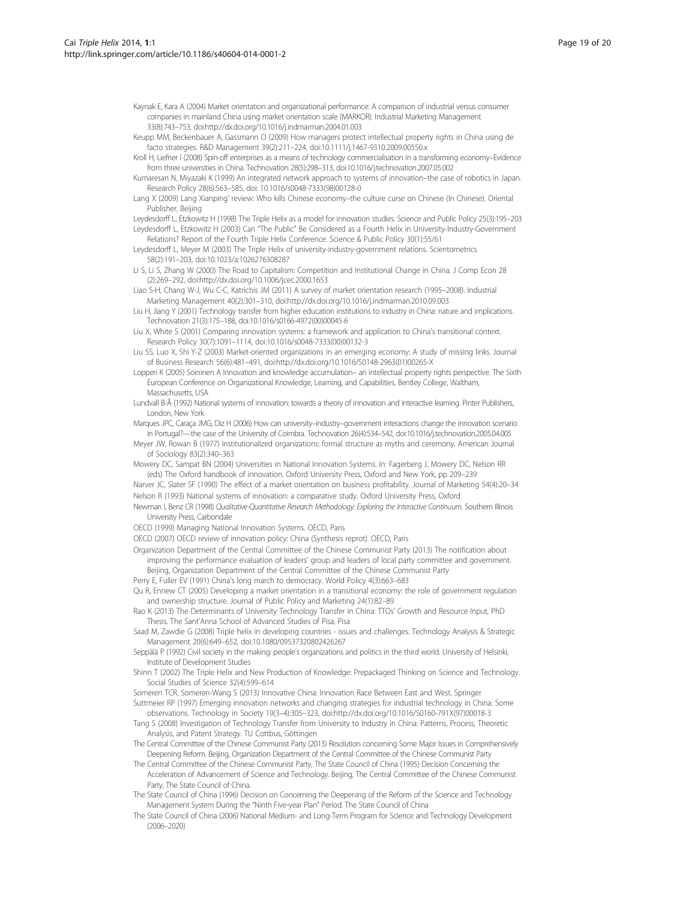<span id="page-18-0"></span>Kaynak E, Kara A (2004) Market orientation and organizational performance: A comparison of industrial versus consumer companies in mainland China using market orientation scale (MARKOR). Industrial Marketing Management 33(8):743–753, doi:http://dx.doi.org/10.1016/j.indmarman.2004.01.003

Keupp MM, Beckenbauer A, Gassmann O (2009) How managers protect intellectual property rights in China using de facto strategies. R&D Management 39(2):211–224, doi:10.1111/j.1467-9310.2009.00550.x

Kroll H, Liefner I (2008) Spin-off enterprises as a means of technology commercialisation in a transforming economy–Evidence from three universities in China. Technovation 28(5):298–313, doi:10.1016/j.technovation.2007.05.002

Kumaresan N, Miyazaki K (1999) An integrated network approach to systems of innovation–the case of robotics in Japan. Research Policy 28(6):563–585, doi: 10.1016/s0048-7333(98)00128-0

Lang X (2009) Lang Xianping' review: Who kills Chinese economy–the culture curse on Chinese (In Chinese). Oriental Publisher, Beijing

Leydesdorff L, Etzkowitz H (1998) The Triple Helix as a model for innovation studies. Science and Public Policy 25(3):195–203 Leydesdorff L, Etzkowitz H (2003) Can "The Public" Be Considered as a Fourth Helix in University-Industry-Government Relations? Report of the Fourth Triple Helix Conference. Science & Public Policy 30(1):55/61

Leydesdorff L, Meyer M (2003) The Triple Helix of university-industry-government relations. Scientometrics 58(2):191–203, doi:10.1023/a:1026276308287

Li S, Li S, Zhang W (2000) The Road to Capitalism: Competition and Institutional Change in China. J Comp Econ 28 (2):269–292, doi:http://dx.doi.org/10.1006/jcec.2000.1653

Liao S-H, Chang W-J, Wu C-C, Katrichis JM (2011) A survey of market orientation research (1995–2008). Industrial Marketing Management 40(2):301–310, doi:http://dx.doi.org/10.1016/j.indmarman.2010.09.003

Liu H, Jiang Y (2001) Technology transfer from higher education institutions to industry in China: nature and implications. Technovation 21(3):175–188, doi:10.1016/s0166-4972(00)00045-6

Liu X, White S (2001) Comparing innovation systems: a framework and application to China's transitional context. Research Policy 30(7):1091–1114, doi:10.1016/s0048-7333(00)00132-3

Liu SS, Luo X, Shi Y-Z (2003) Market-oriented organizations in an emerging economy: A study of missing links. Journal of Business Research 56(6):481–491, doi:http://dx.doi.org/10.1016/S0148-2963(01)00265-X

Lopperi K (2005) Soininen A Innovation and knowledge accumulation– an intellectual property rights perspective. The Sixth European Conference on Organizational Knowledge, Learning, and Capabilities, Bentley College, Waltham, Massachusetts, USA

Lundvall B-Å (1992) National systems of innovation: towards a theory of innovation and interactive learning. Pinter Publishers, London, New York

Marques JPC, Caraça JMG, Diz H (2006) How can university–industry–government interactions change the innovation scenario in Portugal?—the case of the University of Coimbra. Technovation 26(4):534–542, doi:10.1016/j.technovation.2005.04.005

Meyer JW, Rowan B (1977) Institutionalized organizations: formal structure as myths and ceremony. American Journal of Sociology 83(2):340–363

Mowery DC, Sampat BN (2004) Universities in National Innovation Systems. In: Fagerberg J, Mowery DC, Nelson RR (eds) The Oxford handbook of innovation. Oxford University Press, Oxford and New York, pp 209–239

Narver JC, Slater SF (1990) The effect of a market orientation on business profitability. Journal of Marketing 54(4):20–34 Nelson R (1993) National systems of innovation: a comparative study. Oxford University Press, Oxford

Newman I, Benz CR (1998) Qualitative-Quantitative Research Methodology: Exploring the Interactive Continuum. Southern Illinois University Press, Carbondale

OECD (1999) Managing National Innovation Systems. OECD, Paris

OECD (2007) OECD review of innovation policy: China (Synthesis reprot). OECD, Paris

Organization Department of the Central Committee of the Chinese Communist Party (2013) The notification about improving the performance evaluation of leaders' group and leaders of local party committee and government. Beijing, Organization Department of the Central Committee of the Chinese Communist Party

Perry E, Fuller EV (1991) China's long march to democracy. World Policy 4(3):663–683

Qu R, Ennew CT (2005) Developing a market orientation in a transitional economy: the role of government regulation and ownership structure. Journal of Public Policy and Marketing 24(1):82–89

Rao K (2013) The Determinants of University Technology Transfer in China: TTOs' Growth and Resource Input, PhD Thesis. The Sant'Anna School of Advanced Studies of Pisa, Pisa

Saad M, Zawdie G (2008) Triple helix in developing countries - issues and challenges. Technology Analysis & Strategic Management 20(6):649–652, doi:10.1080/09537320802426267

Seppälä P (1992) Civil society in the making: people's organizations and politics in the third world. University of Helsinki, Institute of Development Studies

Shinn T (2002) The Triple Helix and New Production of Knowledge: Prepackaged Thinking on Science and Technology. Social Studies of Science 32(4):599–614

Someren TCR, Someren-Wang S (2013) Innovative China: Innovation Race Between East and West. Springer

Suttmeier RP (1997) Emerging innovation networks and changing strategies for industrial technology in China: Some observations. Technology in Society 19(3–4):305–323, doi:http://dx.doi.org/10.1016/S0160-791X(97)00018-3

Tang S (2008) Investigation of Technology Transfer from University to Industry in China: Patterns, Process, Theoretic Analysis, and Patent Strategy. TU Cottbus, Göttingen

The Central Committee of the Chinese Communist Party (2013) Resolution concerning Some Major Issues in Comprehensively Deepening Reform. Beijing, Organization Department of the Central Committee of the Chinese Communist Party

The Central Committee of the Chinese Communist Party, The State Council of China (1995) Decision Concerning the Acceleration of Advancement of Science and Technology. Beijing, The Central Committee of the Chinese Communist Party, The State Council of China.

The State Council of China (1996) Decision on Concerning the Deepening of the Reform of the Science and Technology Management System During the "Ninth Five-year Plan" Period. The State Council of China

The State Council of China (2006) National Medium- and Long-Term Program for Science and Technology Development (2006–2020)